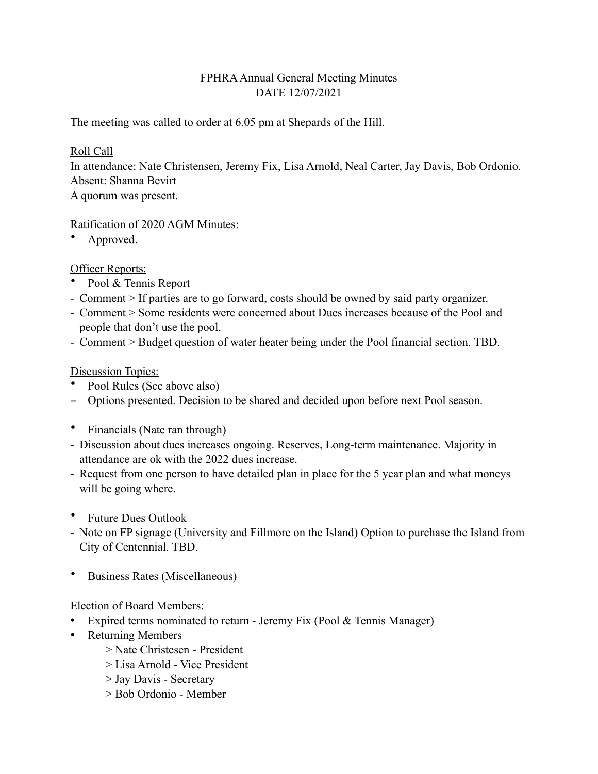# FPHRA Annual General Meeting Minutes DATE 12/07/2021

The meeting was called to order at 6.05 pm at Shepards of the Hill.

### Roll Call

In attendance: Nate Christensen, Jeremy Fix, Lisa Arnold, Neal Carter, Jay Davis, Bob Ordonio. Absent: Shanna Bevirt

A quorum was present.

# Ratification of 2020 AGM Minutes:

• Approved.

Officer Reports:

- Pool & Tennis Report
- Comment > If parties are to go forward, costs should be owned by said party organizer.
- Comment > Some residents were concerned about Dues increases because of the Pool and people that don't use the pool.
- Comment > Budget question of water heater being under the Pool financial section. TBD.

# Discussion Topics:

- Pool Rules (See above also)
- Options presented. Decision to be shared and decided upon before next Pool season.
- Financials (Nate ran through)
- Discussion about dues increases ongoing. Reserves, Long-term maintenance. Majority in attendance are ok with the 2022 dues increase.
- Request from one person to have detailed plan in place for the 5 year plan and what moneys will be going where.
- Future Dues Outlook
- Note on FP signage (University and Fillmore on the Island) Option to purchase the Island from City of Centennial. TBD.
- Business Rates (Miscellaneous)

#### Election of Board Members:

- Expired terms nominated to return Jeremy Fix (Pool & Tennis Manager)
- Returning Members
	- > Nate Christesen President
	- > Lisa Arnold Vice President
	- > Jay Davis Secretary
	- > Bob Ordonio Member